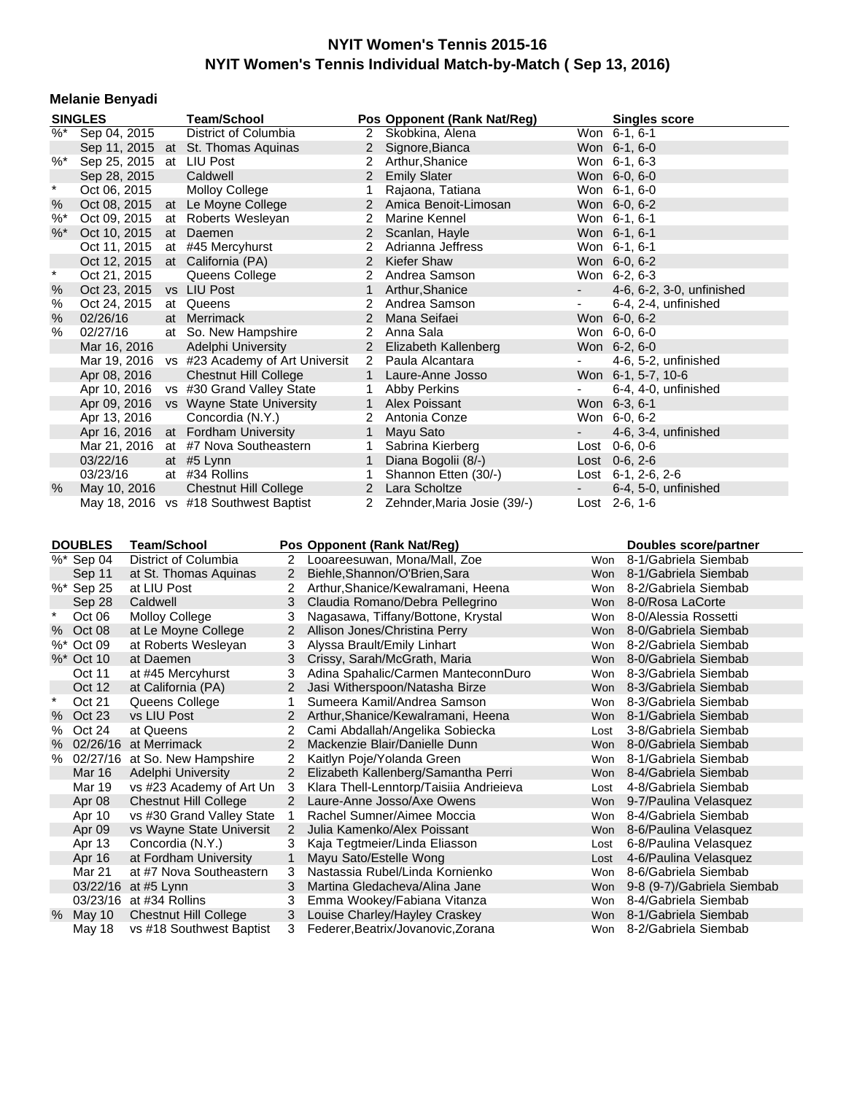#### **Melanie Benyadi**

|               | <b>SINGLES</b>           | <b>Team/School</b>                           |                | Pos Opponent (Rank Nat/Reg) |           | <b>Singles score</b>      |
|---------------|--------------------------|----------------------------------------------|----------------|-----------------------------|-----------|---------------------------|
|               | $\%^*$ Sep 04, 2015      | District of Columbia                         |                | 2 Skobkina, Alena           |           | Won 6-1, 6-1              |
|               |                          | Sep 11, 2015 at St. Thomas Aquinas           |                | 2 Signore, Bianca           |           | Won 6-1, 6-0              |
| $\%$ *        | Sep 25, 2015 at LIU Post |                                              |                | 2 Arthur, Shanice           |           | Won 6-1, 6-3              |
|               | Sep 28, 2015             | Caldwell                                     |                | 2 Emily Slater              |           | Won 6-0, 6-0              |
| $\star$       | Oct 06, 2015             | <b>Molloy College</b>                        | 1              | Rajaona, Tatiana            |           | Won 6-1, 6-0              |
| %             | Oct 08, 2015             | at Le Moyne College                          |                | 2 Amica Benoit-Limosan      |           | Won 6-0, 6-2              |
| $%$ *         | Oct 09, 2015             | at Roberts Wesleyan                          | $\overline{2}$ | Marine Kennel               |           | Won 6-1, 6-1              |
| $\% *$        | Oct 10, 2015             | at Daemen                                    |                | 2 Scanlan, Hayle            |           | Won 6-1, 6-1              |
|               | Oct 11, 2015             | at #45 Mercyhurst                            | $\overline{2}$ | Adrianna Jeffress           |           | Won 6-1, 6-1              |
|               | Oct 12, 2015             | at California (PA)                           |                | 2 Kiefer Shaw               |           | Won 6-0, 6-2              |
| $\pmb{\ast}$  | Oct 21, 2015             | Queens College                               | $\overline{2}$ | Andrea Samson               |           | Won 6-2, 6-3              |
| %             | Oct 23, 2015             | vs LIU Post                                  | $\mathbf{1}$   | Arthur, Shanice             | $\sim$    | 4-6, 6-2, 3-0, unfinished |
| %             | Oct 24, 2015             | at Queens                                    | $\overline{2}$ | Andrea Samson               | $\sim$    | 6-4, 2-4, unfinished      |
| $\frac{0}{0}$ | 02/26/16                 | at Merrimack                                 |                | 2 Mana Seifaei              |           | Won 6-0, 6-2              |
| $\%$          | 02/27/16                 | at So. New Hampshire                         | $\mathbf{2}$   | Anna Sala                   |           | Won 6-0, 6-0              |
|               | Mar 16, 2016             | Adelphi University                           |                | 2 Elizabeth Kallenberg      |           | Won 6-2, 6-0              |
|               |                          | Mar 19, 2016 vs #23 Academy of Art Universit |                | 2 Paula Alcantara           | $\sim 10$ | 4-6, 5-2, unfinished      |
|               | Apr 08, 2016             | <b>Chestnut Hill College</b>                 |                | 1 Laure-Anne Josso          |           | Won 6-1, 5-7, 10-6        |
|               | Apr 10, 2016             | vs #30 Grand Valley State                    | $\mathbf{1}$   | Abby Perkins                |           | 6-4, 4-0, unfinished      |
|               | Apr 09, 2016             | vs Wayne State University                    |                | 1 Alex Poissant             |           | Won 6-3, 6-1              |
|               | Apr 13, 2016             | Concordia (N.Y.)                             |                | 2 Antonia Conze             |           | Won 6-0, 6-2              |
|               | Apr 16, 2016             | at Fordham University                        | $\mathbf{1}$   | Mayu Sato                   |           | 4-6, 3-4, unfinished      |
|               | Mar 21, 2016             | at #7 Nova Southeastern                      | 1              | Sabrina Kierberg            |           | Lost $0-6, 0-6$           |
|               | 03/22/16                 | at #5 Lynn                                   | $\mathbf{1}$   | Diana Bogolii (8/-)         |           | Lost 0-6, 2-6             |
|               | 03/23/16                 | at #34 Rollins                               | 1              | Shannon Etten (30/-)        |           | Lost $6-1$ , 2-6, 2-6     |
| %             | May 10, 2016             | Chestnut Hill College                        |                | 2 Lara Scholtze             |           | 6-4, 5-0, unfinished      |
|               |                          | May 18, 2016 vs #18 Southwest Baptist        | $\mathbf{2}$   | Zehnder, Maria Josie (39/-) |           | Lost 2-6, 1-6             |

**DOUBLES Team/School Pos Opponent (Rank Nat/Reg) Boubles score/partner example is the United Score/Partner<br>**  $\%^*$  **Sep 04 District of Columbia 2 Looareesuwan, Mona/Mall, Zoe Won 8-1/Gabriela Siembab** District of Columbia 2 Looareesuwan, Mona/Mall, Zoe Won 8-1/Gabriela Siembab<br>at St. Thomas Aquinas 2 Biehle, Shannon/O'Brien, Sara Won 8-1/Gabriela Siembab Sep 11 at St. Thomas Aquinas 2 Biehle, Shannon/O'Brien, Sara Won 8-1/Gabriela Siembab %\* Sep 25 at LIU Post 2 Arthur, Shanice/Kewalramani, Heena Won 8-2/Gabriela Siembab Sep 28 Caldwell 3 Claudia Romano/Debra Pellegrino Won 8-0/Rosa LaCorte Oct 06 Molloy College 3 Nagasawa, Tiffany/Bottone, Krystal Won 8-0/Alessia Rossetti % Oct 08 at Le Moyne College 2 Allison Jones/Christina Perry Won 8-0/Gabriela Siembab %\* Oct 09 at Roberts Wesleyan 3 Alyssa Brault/Emily Linhart World Won 8-2/Gabriela Siembab<br>%\* Oct 10 at Daemen 3 Crissy, Sarah/McGrath, Maria Won 8-0/Gabriela Siembab at Daemen 3 Crissy, Sarah/McGrath, Maria 8-0000 Won Oct 11 at #45 Mercyhurst 3 Adina Spahalic/Carmen ManteconnDuro Won 8-3/Gabriela Siembab Oct 12 at California (PA) 2 Jasi Witherspoon/Natasha Birze Won 8-3/Gabriela Siembab<br>
2 Jasi Wartasha Birze Manari Andrea Samson Won 8-3/Gabriela Siembab 1 Sumeera Kamil/Andrea Samson Won 8-3/Gabriela Siembab % Oct 23 vs LIU Post 2 Arthur, Shanice/Kewalramani, Heena Won 8-1/Gabriela Siembab % Oct 24 at Queens 2 Cami Abdallah/Angelika Sobiecka Lost 3-8/Gabriela Siembab<br>% 02/26/16 at Merrimack 2 Mackenzie Blair/Danielle Dunn Won 8-0/Gabriela Siembab % 02/26/16 at Merrimack 2 Mackenzie Blair/Danielle Dunn<br>% 02/27/16 at So. New Hampshire 2 Kaitlyn Poie/Yolanda Green 6 Won 8-1/Gabriela Siembab % 02/27/16 at So. New Hampshire 2 Kaitlyn Poje/Yolanda Green 8-10-100 won Mar 16 Adelphi University 2 Elizabeth Kallenberg/Samantha Perri Won 8-4/Gabriela Siembab Mar 19 vs #23 Academy of Art Un 3 Klara Thell-Lenntorp/Taisiia Andrieieva Lost 4-8/Gabriela Siembab Apr 08 Chestnut Hill College 2 Laure-Anne Josso/Axe Owens Won 9-7/Paulina Velasquez Apr 10 vs #30 Grand Valley State 1 Rachel Sumner/Aimee Moccia Won 8-4/Gabriela Siembab Apr 09 vs Wayne State Universit 2 Julia Kamenko/Alex Poissant World Won 8-6/Paulina Velasquez<br>Apr 13 Concordia (N.Y.) 3 Kaja Tegtmeier/Linda Eliasson Xan Lost 6-8/Paulina Velasquez Apr 13 Concordia (N.Y.) 3 Kaja Tegtmeier/Linda Eliasson Lost 6-8/Paulina Velasquez<br>Apr 16 at Fordham University 1 Mayu Sato/Estelle Wong Chronest Lost 4-6/Paulina Velasquez 1 Mayu Sato/Estelle Wong Lost 4-6-6-20Paulina Velast 4-6-6-20Paulina Velast 4-6-Mar 21 at #7 Nova Southeastern 3 Nastassia Rubel/Linda Kornienko Won 8-6/Gabriela Siembab 03/22/16 at #5 Lynn 3 Martina Gledacheva/Alina Jane Won 9-8 (9-7)/Gabriela Siembab 03/23/16 at #34 Rollins 3 Emma Wookey/Fabiana Vitanza 5 Mon 8-4/Gabriela Siembab May 10 Chestnut Hill College 3 Louise Charley/Hayley Craskey Won 8-1/Gabriela Siembab May 18 vs #18 Southwest Baptist 3 Federer, Beatrix/Jovanovic, Zorana Won 8-2/Gabriela Siembab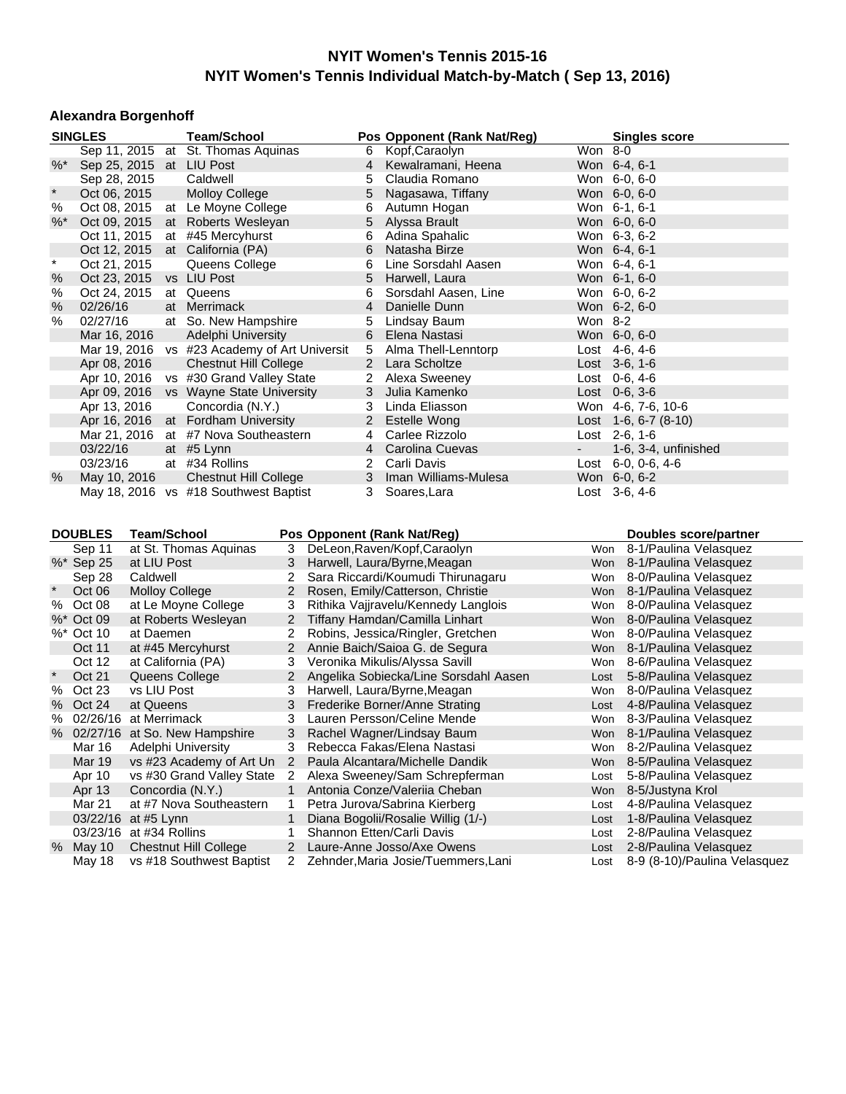#### **Alexandra Borgenhoff**

|              | <b>SINGLES</b>          |                       | <b>Team/School</b>                           |                |                | Pos Opponent (Rank Nat/Reg)           |                    | <b>Singles score</b>         |
|--------------|-------------------------|-----------------------|----------------------------------------------|----------------|----------------|---------------------------------------|--------------------|------------------------------|
|              |                         |                       | Sep 11, 2015 at St. Thomas Aquinas           |                | 6              | Kopf, Caraolyn                        | $Won 8-0$          |                              |
| $\% *$       |                         |                       | Sep 25, 2015 at LIU Post                     |                | 4              | Kewalramani, Heena                    | Won 6-4, 6-1       |                              |
|              | Sep 28, 2015            |                       | Caldwell                                     |                | 5              | Claudia Romano                        | Won 6-0, 6-0       |                              |
| $\pmb{\ast}$ | Oct 06, 2015            |                       | <b>Molloy College</b>                        |                | 5              | Nagasawa, Tiffany                     | Won 6-0, 6-0       |                              |
| $\%$         | Oct 08, 2015            |                       | at Le Moyne College                          |                | 6              | Autumn Hogan                          | Won 6-1, 6-1       |                              |
| $%$ *        | Oct 09, 2015            |                       | at Roberts Wesleyan                          |                | 5              | Alyssa Brault                         | Won 6-0, 6-0       |                              |
|              | Oct 11, 2015            |                       | at #45 Mercyhurst                            |                | 6              | Adina Spahalic                        | Won 6-3, 6-2       |                              |
|              |                         |                       | Oct 12, 2015 at California (PA)              |                | 6              | Natasha Birze                         | Won 6-4, 6-1       |                              |
| $\star$      | Oct 21, 2015            |                       | Queens College                               |                | 6              | Line Sorsdahl Aasen                   | Won 6-4, 6-1       |                              |
| $\%$         | Oct 23, 2015            |                       | vs LIU Post                                  |                | 5              | Harwell, Laura                        | Won 6-1, 6-0       |                              |
| $\%$         | Oct 24, 2015            |                       | at Queens                                    |                | 6              | Sorsdahl Aasen, Line                  | Won 6-0, 6-2       |                              |
| $\%$         | 02/26/16                |                       | at Merrimack                                 |                | $\overline{4}$ | Danielle Dunn                         | Won 6-2, 6-0       |                              |
| $\%$         | 02/27/16                |                       | at So. New Hampshire                         |                | 5              | Lindsay Baum                          | Won 8-2            |                              |
|              | Mar 16, 2016            |                       | Adelphi University                           |                | 6              | Elena Nastasi                         | Won 6-0, 6-0       |                              |
|              |                         |                       | Mar 19, 2016 vs #23 Academy of Art Universit |                | 5              | Alma Thell-Lenntorp                   | Lost 4-6, 4-6      |                              |
|              | Apr 08, 2016            |                       | <b>Chestnut Hill College</b>                 |                |                | 2 Lara Scholtze                       | Lost $3-6, 1-6$    |                              |
|              |                         |                       | Apr 10, 2016 vs #30 Grand Valley State       |                | 2              | Alexa Sweeney                         | Lost $0-6, 4-6$    |                              |
|              |                         |                       | Apr 09, 2016 vs Wayne State University       |                | 3              | Julia Kamenko                         | Lost $0-6$ , $3-6$ |                              |
|              | Apr 13, 2016            |                       | Concordia (N.Y.)                             |                | 3              | Linda Eliasson                        |                    | Won 4-6, 7-6, 10-6           |
|              |                         |                       | Apr 16, 2016 at Fordham University           |                | $\overline{2}$ | <b>Estelle Wong</b>                   |                    | Lost $1-6, 6-7$ (8-10)       |
|              |                         |                       | Mar 21, 2016 at #7 Nova Southeastern         |                | 4              | Carlee Rizzolo                        | Lost 2-6, 1-6      |                              |
|              | 03/22/16                |                       | at #5 Lynn                                   |                | $\overline{4}$ | Carolina Cuevas                       |                    | 1-6, 3-4, unfinished         |
|              | 03/23/16                |                       | at #34 Rollins                               |                | 2              | Carli Davis                           |                    | Lost $6-0$ , $0-6$ , $4-6$   |
| %            | May 10, 2016            |                       | <b>Chestnut Hill College</b>                 |                | 3              | Iman Williams-Mulesa                  | Won 6-0, 6-2       |                              |
|              |                         |                       | May 18, 2016 vs #18 Southwest Baptist        |                | 3              | Soares, Lara                          | Lost $3-6, 4-6$    |                              |
|              |                         |                       |                                              |                |                |                                       |                    |                              |
|              | <b>DOUBLES</b>          | <b>Team/School</b>    |                                              |                |                | Pos Opponent (Rank Nat/Reg)           |                    | Doubles score/partner        |
|              | Sep 11                  |                       | at St. Thomas Aquinas                        | 3              |                | DeLeon, Raven/Kopf, Caraolyn          |                    | Won 8-1/Paulina Velasquez    |
|              | %* Sep 25               | at LIU Post           |                                              | 3              |                | Harwell, Laura/Byrne, Meagan          |                    | Won 8-1/Paulina Velasquez    |
|              | Sep 28                  | Caldwell              |                                              | 2              |                | Sara Riccardi/Koumudi Thirunagaru     |                    | Won 8-0/Paulina Velasquez    |
|              | Oct 06                  | <b>Molloy College</b> |                                              | $2^{\circ}$    |                | Rosen, Emily/Catterson, Christie      |                    | Won 8-1/Paulina Velasquez    |
| $\%$         | Oct 08                  |                       | at Le Moyne College                          | 3              |                | Rithika Vajjravelu/Kennedy Langlois   |                    | Won 8-0/Paulina Velasquez    |
|              | %* Oct 09               |                       | at Roberts Wesleyan                          | 2              |                | Tiffany Hamdan/Camilla Linhart        | Won                | 8-0/Paulina Velasquez        |
|              | %* Oct 10               | at Daemen             |                                              | 2              |                | Robins, Jessica/Ringler, Gretchen     |                    | Won 8-0/Paulina Velasquez    |
|              | Oct 11                  |                       | at #45 Mercyhurst                            | 2 <sup>1</sup> |                | Annie Baich/Saioa G. de Segura        |                    | Won 8-1/Paulina Velasquez    |
|              | Oct 12                  |                       | at California (PA)                           | 3              |                | Veronika Mikulis/Alyssa Savill        |                    | Won 8-6/Paulina Velasquez    |
| $\star$      | Oct 21                  |                       | Queens College                               | $\mathbf{2}$   |                | Angelika Sobiecka/Line Sorsdahl Aasen | Lost               | 5-8/Paulina Velasquez        |
|              | % Oct 23                | vs LIU Post           |                                              | 3              |                | Harwell, Laura/Byrne, Meagan          |                    | Won 8-0/Paulina Velasquez    |
|              | % Oct 24                | at Queens             |                                              | 3              |                | Frederike Borner/Anne Strating        |                    | Lost 4-8/Paulina Velasquez   |
| %            | 02/26/16 at Merrimack   |                       |                                              | 3              |                | Lauren Persson/Celine Mende           |                    | Won 8-3/Paulina Velasquez    |
|              |                         |                       | % 02/27/16 at So. New Hampshire              | 3              |                | Rachel Wagner/Lindsay Baum            |                    | Won 8-1/Paulina Velasquez    |
|              |                         |                       | Mar 16 Adelphi University                    | 3              |                | Rebecca Fakas/Elena Nastasi           |                    | Won 8-2/Paulina Velasquez    |
|              | Mar 19                  |                       | vs #23 Academy of Art Un                     | 2              |                | Paula Alcantara/Michelle Dandik       |                    | Won 8-5/Paulina Velasquez    |
|              | Apr 10                  |                       | vs #30 Grand Valley State                    | 2              |                | Alexa Sweeney/Sam Schrepferman        | Lost               | 5-8/Paulina Velasquez        |
|              | Apr 13                  |                       | Concordia (N.Y.)                             | 1              |                | Antonia Conze/Valeriia Cheban         | Won                | 8-5/Justyna Krol             |
|              | Mar 21                  |                       | at #7 Nova Southeastern                      | 1              |                | Petra Jurova/Sabrina Kierberg         | Lost               | 4-8/Paulina Velasquez        |
|              | 03/22/16 at #5 Lynn     |                       |                                              |                |                | Diana Bogolii/Rosalie Willig (1/-)    | Lost               | 1-8/Paulina Velasquez        |
|              | 03/23/16 at #34 Rollins |                       |                                              | 1              |                | Shannon Etten/Carli Davis             | Lost               | 2-8/Paulina Velasquez        |
| %            | May 10                  |                       | <b>Chestnut Hill College</b>                 | $\overline{2}$ |                | Laure-Anne Josso/Axe Owens            | Lost               | 2-8/Paulina Velasquez        |
|              | May 18                  |                       | vs #18 Southwest Baptist                     | 2              |                | Zehnder, Maria Josie/Tuemmers, Lani   | Lost               | 8-9 (8-10)/Paulina Velasquez |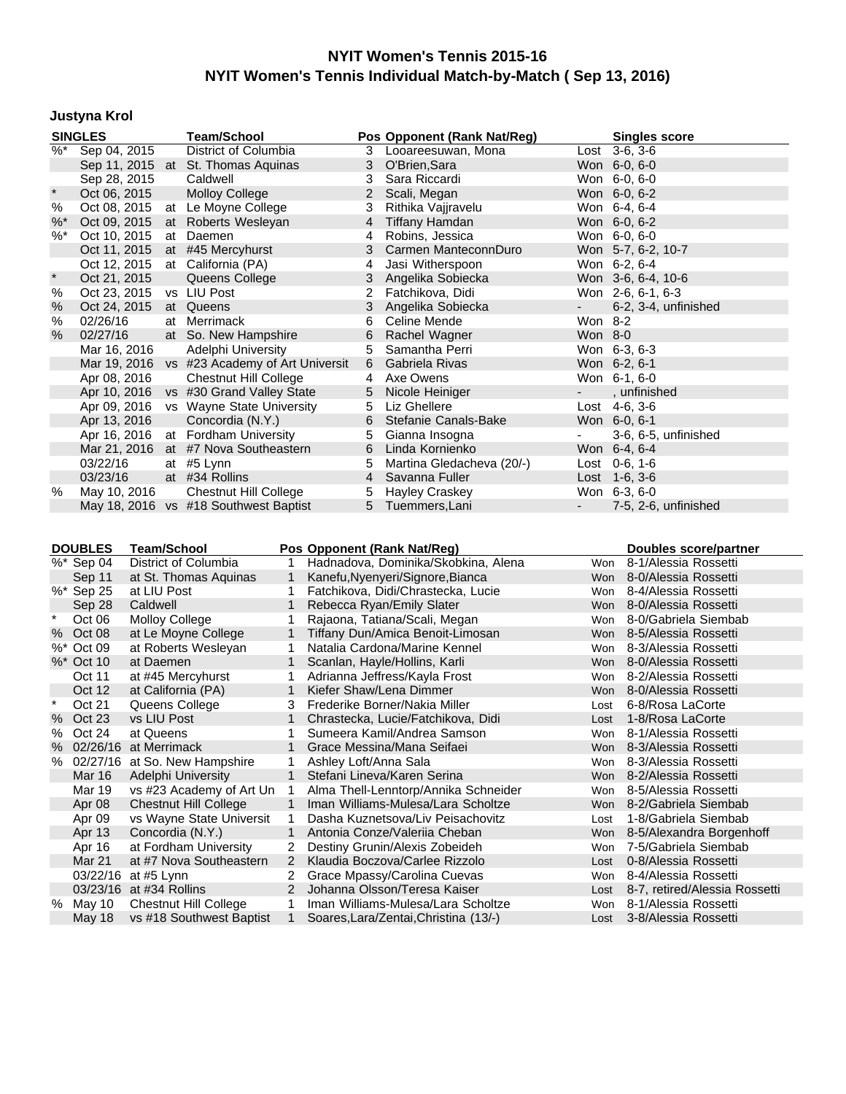# **Justyna Krol**

|               | <b>SINGLES</b>                                  |  | <b>Team/School</b>                           |                | Pos Opponent (Rank Nat/Reg)         |                             | <b>Singles score</b>     |
|---------------|-------------------------------------------------|--|----------------------------------------------|----------------|-------------------------------------|-----------------------------|--------------------------|
| $\frac{9}{6}$ | Sep 04, 2015                                    |  | District of Columbia                         | 3              | Looareesuwan, Mona                  |                             | Lost 3-6, 3-6            |
|               |                                                 |  | Sep 11, 2015 at St. Thomas Aquinas           | 3              | O'Brien, Sara                       |                             | Won 6-0, 6-0             |
|               | Sep 28, 2015                                    |  | Caldwell                                     | 3              | Sara Riccardi                       |                             | Won 6-0, 6-0             |
| $\star$       | Oct 06, 2015                                    |  | <b>Molloy College</b>                        | $\overline{2}$ | Scali, Megan                        |                             | Won 6-0, 6-2             |
| %             | Oct 08, 2015                                    |  | at Le Moyne College                          | 3              | Rithika Vajjravelu                  |                             | Won 6-4, 6-4             |
| $%^*$         | Oct 09, 2015                                    |  | at Roberts Wesleyan                          | $\overline{4}$ | <b>Tiffany Hamdan</b>               |                             | Won 6-0, 6-2             |
| $%$ *         | Oct 10, 2015                                    |  | at Daemen                                    | 4              | Robins, Jessica                     |                             | Won 6-0, 6-0             |
|               |                                                 |  | Oct 11, 2015 at #45 Mercyhurst               | 3              | Carmen ManteconnDuro                |                             | Won 5-7, 6-2, 10-7       |
|               | Oct 12, 2015                                    |  | at California (PA)                           | 4              | Jasi Witherspoon                    |                             | Won 6-2, 6-4             |
| $\star$       | Oct 21, 2015                                    |  | Queens College                               | 3              | Angelika Sobiecka                   |                             | Won 3-6, 6-4, 10-6       |
| %             | Oct 23, 2015                                    |  | vs LIU Post                                  |                | Fatchikova, Didi                    |                             | Won 2-6, 6-1, 6-3        |
| $\%$          | Oct 24, 2015                                    |  | at Queens                                    | 3              | Angelika Sobiecka                   |                             | 6-2, 3-4, unfinished     |
| $\%$          | 02/26/16                                        |  | at Merrimack                                 | 6              | Celine Mende                        | Won 8-2                     |                          |
| %             | 02/27/16                                        |  | at So. New Hampshire                         | 6              | Rachel Wagner                       | Won 8-0                     |                          |
|               | Mar 16, 2016                                    |  | Adelphi University                           | 5              | Samantha Perri                      |                             | Won 6-3, 6-3             |
|               |                                                 |  | Mar 19, 2016 vs #23 Academy of Art Universit | 6              | Gabriela Rivas                      |                             | Won 6-2, 6-1             |
|               | Apr 08, 2016                                    |  | <b>Chestnut Hill College</b>                 | 4              | Axe Owens                           |                             | Won 6-1, 6-0             |
|               |                                                 |  | Apr 10, 2016 vs #30 Grand Valley State       | 5              | Nicole Heiniger                     |                             | , unfinished             |
|               |                                                 |  | Apr 09, 2016 vs Wayne State University       | 5              | Liz Ghellere                        |                             | Lost $4-6, 3-6$          |
|               | Apr 13, 2016                                    |  | Concordia (N.Y.)                             | 6              | Stefanie Canals-Bake                |                             | Won 6-0, 6-1             |
|               | Apr 16, 2016                                    |  | at Fordham University                        | 5              | Gianna Insogna                      | $\blacksquare$              | 3-6, 6-5, unfinished     |
|               |                                                 |  | Mar 21, 2016 at #7 Nova Southeastern         | 6              | Linda Kornienko                     |                             | Won 6-4, 6-4             |
|               | 03/22/16                                        |  | at #5 Lynn                                   | 5              | Martina Gledacheva (20/-)           |                             | Lost $0-6, 1-6$          |
|               | 03/23/16                                        |  | at #34 Rollins                               | $\overline{4}$ | Savanna Fuller                      |                             | Lost 1-6, 3-6            |
| %             | May 10, 2016                                    |  | <b>Chestnut Hill College</b>                 | 5              | Hayley Craskey                      |                             | Won 6-3, 6-0             |
|               |                                                 |  | May 18, 2016 vs #18 Southwest Baptist        | 5              | Tuemmers, Lani                      | $\mathcal{L}_{\mathcal{A}}$ | 7-5, 2-6, unfinished     |
|               |                                                 |  |                                              |                |                                     |                             |                          |
|               |                                                 |  |                                              |                |                                     |                             |                          |
|               | <b>DOUBLES</b>                                  |  | <b>Team/School</b>                           |                | Pos Opponent (Rank Nat/Reg)         |                             | Doubles score/partner    |
|               | %* Sep 04                                       |  | District of Columbia                         |                | Hadnadova, Dominika/Skobkina, Alena | Won                         | 8-1/Alessia Rossetti     |
|               | at St. Thomas Aquinas<br>Sep 11<br>$\mathbf{1}$ |  |                                              |                | Kanefu, Nyenyeri/Signore, Bianca    |                             | Won 8-0/Alessia Rossetti |
|               | %* Sep 25<br>at LIU Post                        |  |                                              |                | Fatchikova, Didi/Chrastecka, Lucie  |                             | Won 8-4/Alessia Rossetti |

|        | Sep 11     | at St. Thomas Aguinas           |               | Kanefu, Nyenyeri/Signore, Bianca      | Won        | 8-0/Alessia Rossetti          |
|--------|------------|---------------------------------|---------------|---------------------------------------|------------|-------------------------------|
|        | %* Sep 25  | at LIU Post                     |               | Fatchikova, Didi/Chrastecka, Lucie    | <b>Won</b> | 8-4/Alessia Rossetti          |
|        | Sep 28     | Caldwell                        |               | Rebecca Ryan/Emily Slater             | <b>Won</b> | 8-0/Alessia Rossetti          |
| $\ast$ | Oct 06     | Molloy College                  |               | Rajaona, Tatiana/Scali, Megan         | Won        | 8-0/Gabriela Siembab          |
|        | % Oct 08   | at Le Moyne College             |               | Tiffany Dun/Amica Benoit-Limosan      | <b>Won</b> | 8-5/Alessia Rossetti          |
|        | %* Oct 09  | at Roberts Wesleyan             |               | Natalia Cardona/Marine Kennel         | Won        | 8-3/Alessia Rossetti          |
|        | %* Oct 10  | at Daemen                       |               | Scanlan, Hayle/Hollins, Karli         | <b>Won</b> | 8-0/Alessia Rossetti          |
|        | Oct 11     | at #45 Mercyhurst               |               | Adrianna Jeffress/Kayla Frost         | <b>Won</b> | 8-2/Alessia Rossetti          |
|        | Oct 12     | at California (PA)              |               | Kiefer Shaw/Lena Dimmer               | <b>Won</b> | 8-0/Alessia Rossetti          |
| $\ast$ | Oct 21     | Queens College                  | 3             | Frederike Borner/Nakia Miller         | Lost       | 6-8/Rosa LaCorte              |
|        | % Oct 23   | vs LIU Post                     |               | Chrastecka, Lucie/Fatchikova, Didi    | Lost       | 1-8/Rosa LaCorte              |
|        | % Oct 24   | at Queens                       |               | Sumeera Kamil/Andrea Samson           | Won        | 8-1/Alessia Rossetti          |
|        | % 02/26/16 | at Merrimack                    |               | Grace Messina/Mana Seifaei            | <b>Won</b> | 8-3/Alessia Rossetti          |
|        |            | % 02/27/16 at So. New Hampshire |               | Ashley Loft/Anna Sala                 | Won        | 8-3/Alessia Rossetti          |
|        | Mar 16     | Adelphi University              |               | Stefani Lineva/Karen Serina           | Won        | 8-2/Alessia Rossetti          |
|        | Mar 19     | vs #23 Academy of Art Un        |               | Alma Thell-Lenntorp/Annika Schneider  | Won        | 8-5/Alessia Rossetti          |
|        | Apr 08     | <b>Chestnut Hill College</b>    |               | Iman Williams-Mulesa/Lara Scholtze    | <b>Won</b> | 8-2/Gabriela Siembab          |
|        | Apr 09     | vs Wayne State Universit        |               | Dasha Kuznetsova/Liv Peisachovitz     | Lost       | 1-8/Gabriela Siembab          |
|        | Apr 13     | Concordia (N.Y.)                | $\mathbf{1}$  | Antonia Conze/Valeriia Cheban         | <b>Won</b> | 8-5/Alexandra Borgenhoff      |
|        | Apr 16     | at Fordham University           | 2             | Destiny Grunin/Alexis Zobeideh        | Won        | 7-5/Gabriela Siembab          |
|        | Mar 21     | at #7 Nova Southeastern         | $\mathcal{P}$ | Klaudia Boczova/Carlee Rizzolo        | Lost       | 0-8/Alessia Rossetti          |
|        | 03/22/16   | at #5 Lynn                      | $\mathbf{2}$  | Grace Mpassy/Carolina Cuevas          | Won        | 8-4/Alessia Rossetti          |
|        |            | 03/23/16 at #34 Rollins         | $\mathbf{2}$  | Johanna Olsson/Teresa Kaiser          | Lost       | 8-7, retired/Alessia Rossetti |
|        | % May 10   | Chestnut Hill College           |               | Iman Williams-Mulesa/Lara Scholtze    | Won        | 8-1/Alessia Rossetti          |
|        | May 18     | vs #18 Southwest Baptist        |               | Soares, Lara/Zentai, Christina (13/-) |            | Lost 3-8/Alessia Rossetti     |
|        |            |                                 |               |                                       |            |                               |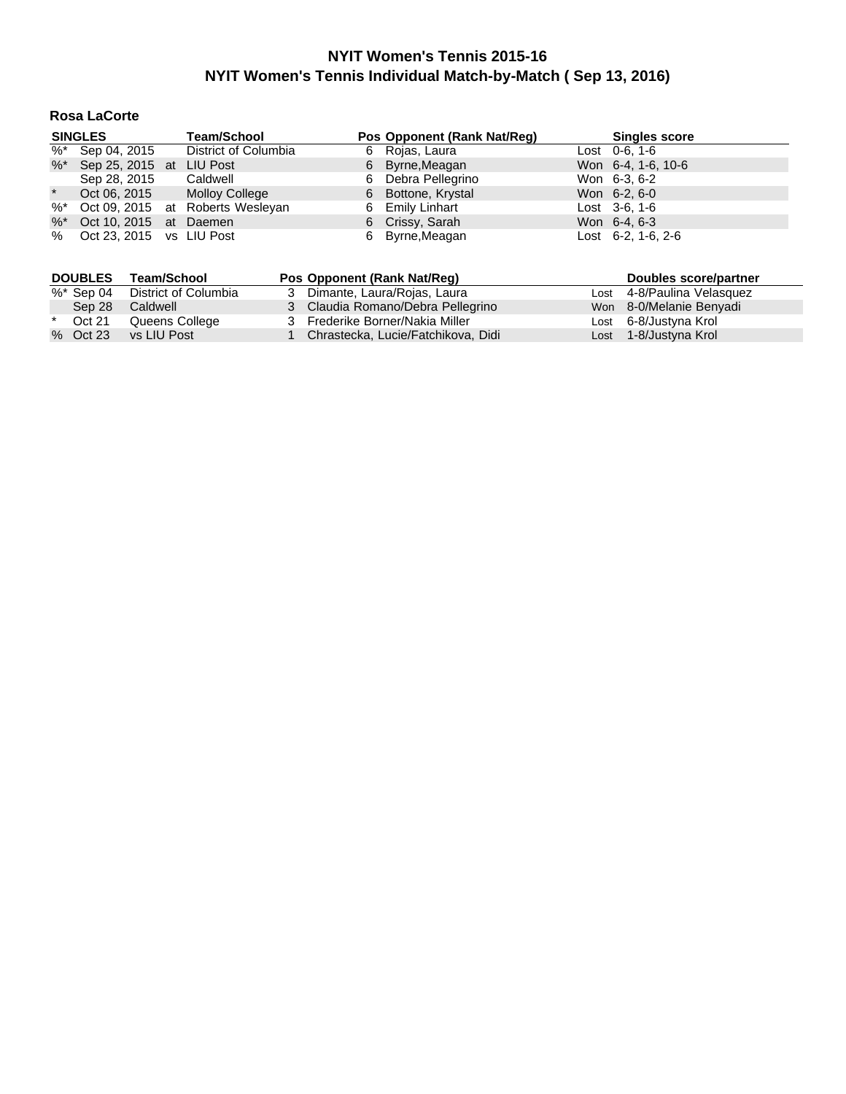## **Rosa LaCorte**

|         | <b>SINGLES</b>              |  | Pos Opponent (Rank Nat/Reg)         |  |                    | <b>Singles score</b> |                              |
|---------|-----------------------------|--|-------------------------------------|--|--------------------|----------------------|------------------------------|
|         | %* Sep 04, 2015             |  | District of Columbia                |  | 6 Rojas, Laura     |                      | Lost $0-6, 1-6$              |
|         | %* Sep 25, 2015 at LIU Post |  |                                     |  | 6 Byrne, Meagan    |                      | Won 6-4, 1-6, 10-6           |
|         | Sep 28, 2015                |  | Caldwell                            |  | 6 Debra Pellegrino |                      | Won 6-3, 6-2                 |
| $\star$ | Oct 06, 2015                |  | <b>Molloy College</b>               |  | 6 Bottone, Krystal |                      | Won 6-2, 6-0                 |
|         |                             |  | %* Oct 09, 2015 at Roberts Wesleyan |  | 6 Emily Linhart    |                      | Lost $3-6, 1-6$              |
|         | %* Oct 10, 2015 at Daemen   |  |                                     |  | 6 Crissy, Sarah    |                      | Won 6-4, 6-3                 |
|         | % Oct 23, 2015 vs LIU Post  |  |                                     |  | 6 Byrne, Meagan    |                      | Lost $6-2$ , 1 $-6$ , 2 $-6$ |

|         | <b>DOUBLES</b> | Team/School          | Pos Opponent (Rank Nat/Req)        | Doubles score/partner      |
|---------|----------------|----------------------|------------------------------------|----------------------------|
|         | %* Sep 04      | District of Columbia | 3 Dimante, Laura/Rojas, Laura      | Lost 4-8/Paulina Velasquez |
|         | Sep 28         | Caldwell             | 3 Claudia Romano/Debra Pellegrino  | Won 8-0/Melanie Benyadi    |
| $\star$ | Oct 21         | Queens College       | 3 Frederike Borner/Nakia Miller    | Lost 6-8/Justyna Krol      |
|         | % Oct 23       | vs LIU Post          | Chrastecka, Lucie/Fatchikova, Didi | Lost 1-8/Justyna Krol      |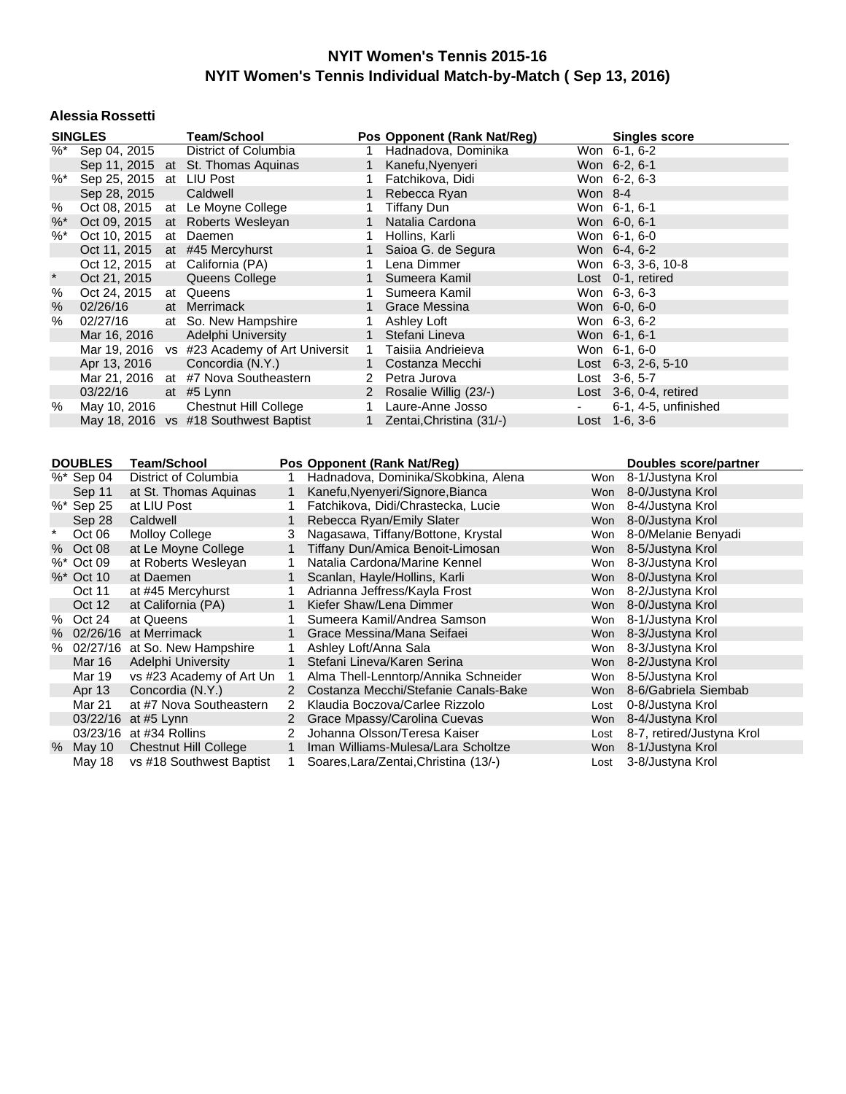#### **Alessia Rossetti**

|               | <b>SINGLES</b>          |                       | <b>Team/School</b>                    |                |                       |                | Pos Opponent (Rank Nat/Reg)          |            | <b>Singles score</b>         |
|---------------|-------------------------|-----------------------|---------------------------------------|----------------|-----------------------|----------------|--------------------------------------|------------|------------------------------|
| $\frac{9}{6}$ | Sep 04, 2015            |                       | District of Columbia                  |                |                       | 1              | Hadnadova, Dominika                  |            | Won 6-1, 6-2                 |
|               |                         |                       | Sep 11, 2015 at St. Thomas Aquinas    |                |                       | $\mathbf{1}$   | Kanefu, Nyenyeri                     |            | Won 6-2, 6-1                 |
| $\%$ $*$      |                         |                       | Sep 25, 2015 at LIU Post              |                |                       | 1              | Fatchikova, Didi                     |            | Won 6-2, 6-3                 |
|               | Sep 28, 2015            |                       | Caldwell                              |                |                       | $\mathbf{1}$   | Rebecca Ryan                         | Won 8-4    |                              |
| $\%$          | Oct 08, 2015            |                       | at Le Moyne College                   |                |                       | 1              | <b>Tiffany Dun</b>                   |            | Won 6-1, 6-1                 |
| %             | Oct 09, 2015            |                       | at Roberts Wesleyan                   |                |                       | 1              | Natalia Cardona                      |            | Won 6-0, 6-1                 |
| $%$ *         | Oct 10, 2015            |                       | at Daemen                             |                |                       | 1              | Hollins, Karli                       |            | Won 6-1, 6-0                 |
|               | Oct 11, 2015            |                       | at #45 Mercyhurst                     |                |                       | $\mathbf{1}$   | Saioa G. de Segura                   |            | Won 6-4, 6-2                 |
|               | Oct 12, 2015            |                       | at California (PA)                    |                |                       | 1              | Lena Dimmer                          |            | Won 6-3, 3-6, 10-8           |
| $\ast$        | Oct 21, 2015            |                       | Queens College                        |                |                       | $\mathbf 1$    | Sumeera Kamil                        |            | Lost 0-1, retired            |
| %             | Oct 24, 2015            |                       | at Queens                             |                |                       | 1              | Sumeera Kamil                        |            | Won 6-3, 6-3                 |
| %             | 02/26/16                |                       | at Merrimack                          |                |                       | 1              | <b>Grace Messina</b>                 |            | Won 6-0, 6-0                 |
| $\%$          | 02/27/16                |                       | at So. New Hampshire                  |                |                       | 1              | Ashley Loft                          |            | Won 6-3, 6-2                 |
|               | Mar 16, 2016            |                       | Adelphi University                    |                |                       | $\mathbf{1}$   | Stefani Lineva                       |            | Won 6-1, 6-1                 |
|               | Mar 19, 2016            |                       | vs #23 Academy of Art Universit       |                |                       | 1              | Taisiia Andrieieva                   |            | Won 6-1, 6-0                 |
|               | Apr 13, 2016            |                       | Concordia (N.Y.)                      |                |                       | $\mathbf{1}$   | Costanza Mecchi                      |            | Lost 6-3, 2-6, 5-10          |
|               | Mar 21, 2016            |                       | at #7 Nova Southeastern               |                |                       | $\overline{2}$ | Petra Jurova                         |            | Lost 3-6, 5-7                |
|               | 03/22/16                |                       | at #5 Lynn                            |                |                       | $\overline{2}$ | Rosalie Willig (23/-)                |            | Lost 3-6, 0-4, retired       |
| %             | May 10, 2016            |                       | <b>Chestnut Hill College</b>          |                |                       | $\mathbf{1}$   | Laure-Anne Josso                     |            | 6-1, 4-5, unfinished         |
|               |                         |                       | May 18, 2016 vs #18 Southwest Baptist |                |                       | $\mathbf{1}$   | Zentai, Christina (31/-)             |            | Lost 1-6, 3-6                |
|               |                         |                       |                                       |                |                       |                |                                      |            |                              |
|               | <b>DOUBLES</b>          | <b>Team/School</b>    |                                       |                |                       |                | Pos Opponent (Rank Nat/Reg)          |            | <b>Doubles score/partner</b> |
|               | %* Sep 04               |                       | <b>District of Columbia</b>           | 1              |                       |                | Hadnadova, Dominika/Skobkina, Alena  | Won        | 8-1/Justyna Krol             |
|               | Sep 11                  |                       | at St. Thomas Aquinas                 | $\mathbf{1}$   |                       |                | Kanefu, Nyenyeri/Signore, Bianca     | Won        | 8-0/Justyna Krol             |
|               | %* Sep 25               | at LIU Post           |                                       | 1              |                       |                | Fatchikova, Didi/Chrastecka, Lucie   | Won        | 8-4/Justyna Krol             |
|               | Sep 28                  | Caldwell              |                                       | 1              |                       |                | Rebecca Ryan/Emily Slater            | Won        | 8-0/Justyna Krol             |
| $\ast$        | Oct 06                  | <b>Molloy College</b> |                                       | 3              |                       |                | Nagasawa, Tiffany/Bottone, Krystal   | Won        | 8-0/Melanie Benyadi          |
|               | % Oct 08                |                       | at Le Moyne College                   | $\mathbf{1}$   |                       |                | Tiffany Dun/Amica Benoit-Limosan     | <b>Won</b> | 8-5/Justyna Krol             |
|               | %* Oct 09               |                       | at Roberts Wesleyan                   | 1              |                       |                | Natalia Cardona/Marine Kennel        | Won        | 8-3/Justyna Krol             |
|               | %* Oct 10               | at Daemen             |                                       | $\mathbf{1}$   |                       |                | Scanlan, Hayle/Hollins, Karli        | Won        | 8-0/Justyna Krol             |
|               | Oct 11                  |                       | at #45 Mercyhurst                     | 1              |                       |                | Adrianna Jeffress/Kayla Frost        | Won        | 8-2/Justyna Krol             |
|               | Oct 12                  |                       | at California (PA)                    | 1              |                       |                | Kiefer Shaw/Lena Dimmer              | <b>Won</b> | 8-0/Justyna Krol             |
|               | % Oct 24                | at Queens             |                                       | 1              |                       |                | Sumeera Kamil/Andrea Samson          | Won        | 8-1/Justyna Krol             |
|               | % 02/26/16 at Merrimack |                       |                                       | $\mathbf{1}$   |                       |                | Grace Messina/Mana Seifaei           | <b>Won</b> | 8-3/Justyna Krol             |
|               |                         |                       | % 02/27/16 at So. New Hampshire       | $\mathbf{1}$   | Ashley Loft/Anna Sala |                |                                      | Won        | 8-3/Justyna Krol             |
|               | Mar 16                  |                       | Adelphi University                    | $\mathbf{1}$   |                       |                | Stefani Lineva/Karen Serina          | Won        | 8-2/Justyna Krol             |
|               | <b>Mar 19</b>           |                       | vs #23 Academy of Art Un              | 1              |                       |                | Alma Thell-Lenntorp/Annika Schneider | Won        | 8-5/Justyna Krol             |
|               | Apr 13                  |                       | Concordia (N.Y.)                      | $\overline{2}$ |                       |                | Costanza Mecchi/Stefanie Canals-Bake | <b>Won</b> | 8-6/Gabriela Siembab         |
|               | Mar 21                  |                       | at #7 Nova Southeastern               | $\mathbf{2}$   |                       |                | Klaudia Boczova/Carlee Rizzolo       | Lost       | 0-8/Justyna Krol             |

03/23/16 at #34 Rollins 2 Johanna Olsson/Teresa Kaiser Lost 8-7, retired/Justyna Krol

% May 10 Chestnut Hill College 1 Iman Williams-Mulesa/Lara Scholtze Won 8-1/Justyna Krol May 18 vs #18 Southwest Baptist 1 Soares,Lara/Zentai,Christina (13/-) Lost 3-8/Justyna Krol

2 Grace Mpassy/Carolina Cuevas Won 8-4/Justyna Krol

Mar 21 at #7 Nova Southeastern 2 Klaudia Boczova/Carlee Rizzolo<br>03/22/16 at #5 Lynn 2 Grace Mpassy/Carolina Cuevas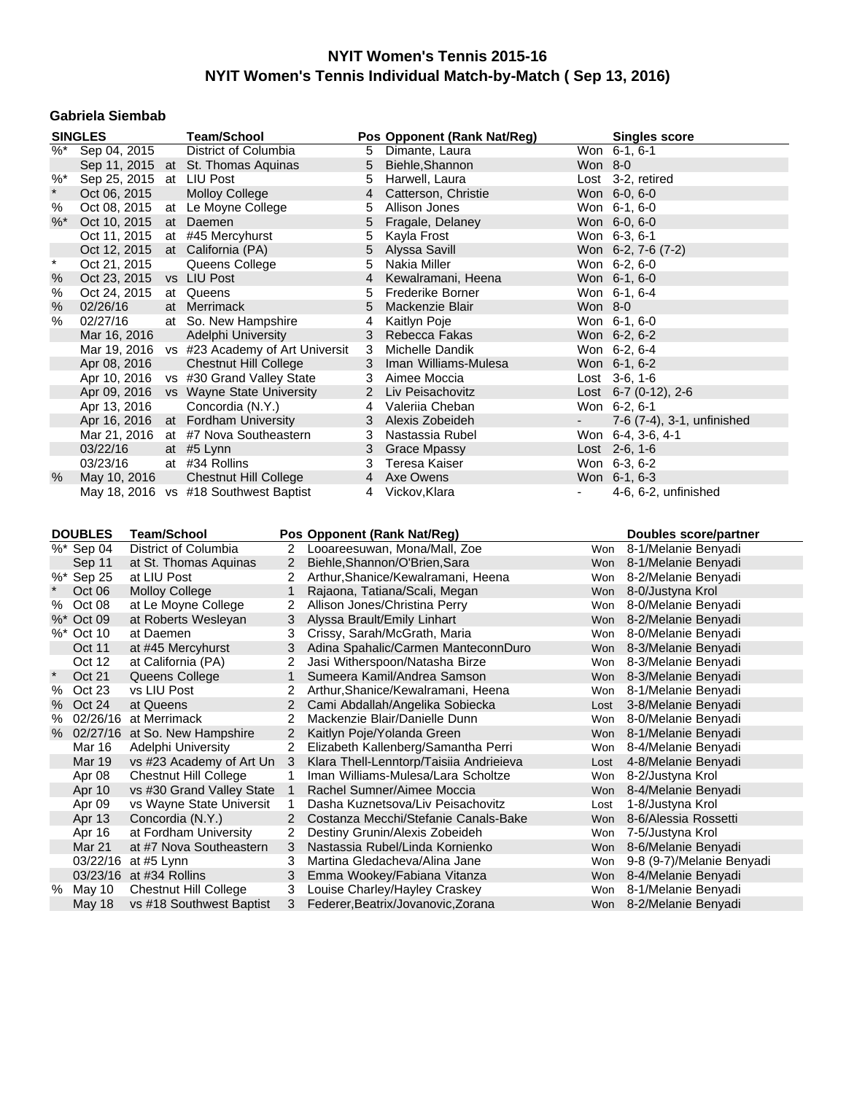### **Gabriela Siembab**

|                     | <b>SINGLES</b>            |                       | <b>Team/School</b>                                       |                |                | Pos Opponent (Rank Nat/Reg)                                         |            |                    | <b>Singles score</b>                       |
|---------------------|---------------------------|-----------------------|----------------------------------------------------------|----------------|----------------|---------------------------------------------------------------------|------------|--------------------|--------------------------------------------|
| $\overline{\%^{*}}$ | Sep 04, 2015              |                       | District of Columbia                                     |                | 5              | Dimante, Laura                                                      |            | Won 6-1, 6-1       |                                            |
|                     |                           |                       | Sep 11, 2015 at St. Thomas Aquinas                       |                | 5              | Biehle, Shannon                                                     | Won 8-0    |                    |                                            |
| $%$ *               |                           |                       | Sep 25, 2015 at LIU Post                                 |                | 5              | Harwell, Laura                                                      |            | Lost 3-2, retired  |                                            |
| $\star$             | Oct 06, 2015              |                       | <b>Molloy College</b>                                    |                | 4              | Catterson, Christie                                                 |            | Won 6-0, 6-0       |                                            |
| %                   | Oct 08, 2015              |                       | at Le Moyne College                                      |                | 5              | Allison Jones                                                       |            | Won 6-1, 6-0       |                                            |
| $%$ *               | Oct 10, 2015              |                       | at Daemen                                                |                | 5              | Fragale, Delaney                                                    |            | Won 6-0, 6-0       |                                            |
|                     | Oct 11, 2015              |                       | at #45 Mercyhurst                                        |                | 5              | Kayla Frost                                                         |            | Won 6-3, 6-1       |                                            |
|                     | Oct 12, 2015              |                       | at California (PA)                                       |                | 5              | Alyssa Savill                                                       |            | Won 6-2, 7-6 (7-2) |                                            |
| $\star$             | Oct 21, 2015              |                       | Queens College                                           |                | 5              | Nakia Miller                                                        |            | Won 6-2, 6-0       |                                            |
| $\%$                |                           |                       | Oct 23, 2015 vs LIU Post                                 |                | $\overline{4}$ | Kewalramani, Heena                                                  |            | Won 6-1, 6-0       |                                            |
| %                   | Oct 24, 2015              |                       | at Queens                                                |                | 5              | <b>Frederike Borner</b>                                             |            | Won 6-1, 6-4       |                                            |
| $\%$                |                           |                       | at Merrimack                                             |                | 5              | Mackenzie Blair                                                     | Won 8-0    |                    |                                            |
| $\%$                | 02/26/16<br>02/27/16      |                       | at So. New Hampshire                                     |                | 4              |                                                                     |            | Won 6-1, 6-0       |                                            |
|                     |                           |                       |                                                          |                |                | Kaitlyn Poje                                                        |            |                    |                                            |
|                     | Mar 16, 2016              |                       | Adelphi University                                       |                | 3              | Rebecca Fakas                                                       |            | Won 6-2, 6-2       |                                            |
|                     |                           |                       | Mar 19, 2016 vs #23 Academy of Art Universit             |                | 3              | Michelle Dandik                                                     |            | Won 6-2, 6-4       |                                            |
|                     | Apr 08, 2016              |                       | <b>Chestnut Hill College</b>                             |                | 3              | Iman Williams-Mulesa                                                |            | Won 6-1, 6-2       |                                            |
|                     |                           |                       | Apr 10, 2016 vs #30 Grand Valley State                   |                | 3              | Aimee Moccia                                                        |            | Lost $3-6, 1-6$    |                                            |
|                     |                           |                       | Apr 09, 2016 vs Wayne State University                   |                | $2^{\circ}$    | Liv Peisachovitz                                                    |            |                    | Lost 6-7 (0-12), 2-6                       |
|                     | Apr 13, 2016              |                       | Concordia (N.Y.)                                         |                | 4              | Valerija Cheban                                                     |            | Won 6-2, 6-1       |                                            |
|                     |                           |                       | Apr 16, 2016 at Fordham University                       |                | 3              | Alexis Zobeideh                                                     |            |                    | 7-6 (7-4), 3-1, unfinished                 |
|                     |                           |                       | Mar 21, 2016 at #7 Nova Southeastern                     |                | 3              | Nastassia Rubel                                                     |            | Won 6-4, 3-6, 4-1  |                                            |
|                     | 03/22/16                  |                       | at #5 Lynn                                               |                | 3              | <b>Grace Mpassy</b>                                                 |            | Lost 2-6, 1-6      |                                            |
|                     | 03/23/16                  |                       | at #34 Rollins                                           |                | 3              | Teresa Kaiser                                                       |            | Won 6-3, 6-2       |                                            |
| %                   | May 10, 2016              |                       | <b>Chestnut Hill College</b>                             |                | $\overline{4}$ | Axe Owens                                                           |            | Won 6-1, 6-3       |                                            |
|                     |                           |                       | May 18, 2016 vs #18 Southwest Baptist                    |                | 4              | Vickov, Klara                                                       |            |                    | 4-6, 6-2, unfinished                       |
|                     |                           |                       |                                                          |                |                |                                                                     |            |                    |                                            |
|                     |                           |                       |                                                          |                |                |                                                                     |            |                    |                                            |
|                     |                           |                       |                                                          |                |                |                                                                     |            |                    |                                            |
|                     | <b>DOUBLES</b>            | <b>Team/School</b>    |                                                          |                |                | Pos Opponent (Rank Nat/Reg)                                         |            |                    | Doubles score/partner                      |
|                     | $\sqrt[6]{6}$ * Sep 04    |                       | <b>District of Columbia</b>                              |                |                | 2 Looareesuwan, Mona/Mall, Zoe                                      | Won        |                    | 8-1/Melanie Benyadi                        |
|                     | Sep 11                    |                       | at St. Thomas Aquinas                                    | $2^{\circ}$    |                | Biehle, Shannon/O'Brien, Sara                                       |            |                    | Won 8-1/Melanie Benyadi                    |
|                     | %* Sep 25                 | at LIU Post           |                                                          | 2              |                | Arthur, Shanice/Kewalramani, Heena                                  |            |                    | Won 8-2/Melanie Benyadi                    |
| $\star$             | Oct 06                    | <b>Molloy College</b> |                                                          | $\mathbf{1}$   |                | Rajaona, Tatiana/Scali, Megan                                       |            |                    | Won 8-0/Justyna Krol                       |
| %                   | Oct 08                    |                       | at Le Moyne College                                      | 2              |                | Allison Jones/Christina Perry                                       | Won        |                    | 8-0/Melanie Benyadi                        |
|                     | %* Oct 09                 |                       | at Roberts Wesleyan                                      | 3              |                | Alyssa Brault/Emily Linhart                                         |            |                    | Won 8-2/Melanie Benyadi                    |
|                     | %* Oct 10                 | at Daemen             |                                                          | 3              |                | Crissy, Sarah/McGrath, Maria                                        | Won        |                    | 8-0/Melanie Benyadi                        |
|                     | Oct 11                    |                       | at #45 Mercyhurst                                        | 3              |                | Adina Spahalic/Carmen ManteconnDuro                                 |            |                    | Won 8-3/Melanie Benyadi                    |
|                     | Oct 12                    |                       | at California (PA)                                       | 2              |                | Jasi Witherspoon/Natasha Birze                                      |            |                    | Won 8-3/Melanie Benyadi                    |
| $\star$             |                           |                       |                                                          | $\mathbf{1}$   |                | Sumeera Kamil/Andrea Samson                                         |            |                    |                                            |
| %                   | Oct 21                    |                       | Queens College                                           | 2              |                |                                                                     | Won        |                    | Won 8-3/Melanie Benyadi                    |
|                     | Oct 23                    | vs LIU Post           |                                                          |                |                | Arthur, Shanice/Kewalramani, Heena                                  |            |                    | 8-1/Melanie Benyadi                        |
| %                   | Oct 24                    | at Queens             |                                                          | $2^{\circ}$    |                | Cami Abdallah/Angelika Sobiecka                                     | Lost       |                    | 3-8/Melanie Benyadi                        |
| %                   | 02/26/16 at Merrimack     |                       |                                                          | $\overline{2}$ |                | Mackenzie Blair/Danielle Dunn                                       |            |                    | Won 8-0/Melanie Benyadi                    |
| %                   |                           |                       | 02/27/16 at So. New Hampshire                            | $2^{\circ}$    |                | Kaitlyn Poje/Yolanda Green                                          |            |                    | Won 8-1/Melanie Benyadi                    |
|                     | Mar 16                    |                       | Adelphi University                                       | 2              |                | Elizabeth Kallenberg/Samantha Perri                                 |            |                    | Won 8-4/Melanie Benyadi                    |
|                     | <b>Mar 19</b>             |                       | vs #23 Academy of Art Un                                 | - 3            |                | Klara Thell-Lenntorp/Taisiia Andrieieva                             | Lost       |                    | 4-8/Melanie Benyadi                        |
|                     | Apr 08                    |                       | <b>Chestnut Hill College</b>                             | 1              |                | Iman Williams-Mulesa/Lara Scholtze                                  | Won        |                    | 8-2/Justyna Krol                           |
|                     | Apr 10                    |                       | vs #30 Grand Valley State                                | $\mathbf{1}$   |                | Rachel Sumner/Aimee Moccia                                          | Won        |                    | 8-4/Melanie Benyadi                        |
|                     | Apr 09                    |                       | vs Wayne State Universit                                 | 1              |                | Dasha Kuznetsova/Liv Peisachovitz                                   | Lost       |                    | 1-8/Justyna Krol                           |
|                     | Apr 13                    |                       | Concordia (N.Y.)                                         | 2              |                | Costanza Mecchi/Stefanie Canals-Bake                                | Won        |                    | 8-6/Alessia Rossetti                       |
|                     | Apr 16                    |                       | at Fordham University                                    | 2              |                | Destiny Grunin/Alexis Zobeideh                                      | Won        |                    | 7-5/Justyna Krol                           |
|                     | Mar 21                    |                       | at #7 Nova Southeastern                                  | 3              |                | Nastassia Rubel/Linda Kornienko                                     | Won        |                    | 8-6/Melanie Benyadi                        |
|                     | 03/22/16                  | at #5 Lynn            |                                                          | 3              |                | Martina Gledacheva/Alina Jane                                       | Won        |                    | 9-8 (9-7)/Melanie Benyadi                  |
|                     | 03/23/16 at #34 Rollins   |                       |                                                          | 3              |                | Emma Wookey/Fabiana Vitanza                                         | Won        |                    | 8-4/Melanie Benyadi                        |
|                     | % May 10<br><b>May 18</b> |                       | <b>Chestnut Hill College</b><br>vs #18 Southwest Baptist | 3<br>3         |                | Louise Charley/Hayley Craskey<br>Federer, Beatrix/Jovanovic, Zorana | Won<br>Won |                    | 8-1/Melanie Benyadi<br>8-2/Melanie Benyadi |